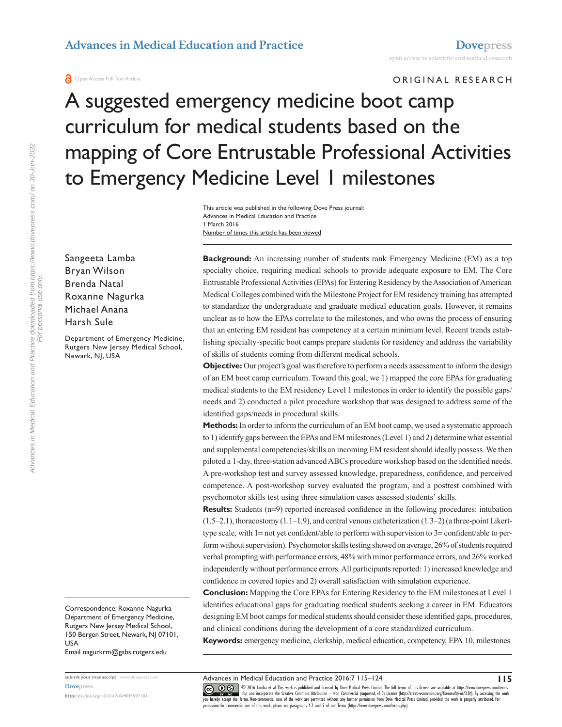**a** Open Access Full Text Article

ORIGINAL RESEARCH

# A suggested emergency medicine boot camp curriculum for medical students based on the mapping of Core Entrustable Professional Activities to Emergency Medicine Level 1 milestones

Number of times this article has been viewed This article was published in the following Dove Press journal: Advances in Medical Education and Practice 1 March 2016

Sangeeta Lamba Bryan Wilson Brenda Natal Roxanne Nagurka Michael Anana Harsh Sule

Department of Emergency Medicine, Rutgers New Jersey Medical School, Newark, NJ, USA

Correspondence: Roxanne Nagurka Department of Emergency Medicine, Rutgers New Jersey Medical School, 150 Bergen Street, Newark, NJ 07101, USA

Email [nagurkrm@gsbs.rutgers.edu](mailto:nagurkrm@gsbs.rutgers.edu)

**submit your manuscript** | <www.dovepress.com> **[Dovepress](www.dovepress.com)**

**<http://dx.doi.org/10.2147/AMEP.S97106>**

**Background:** An increasing number of students rank Emergency Medicine (EM) as a top specialty choice, requiring medical schools to provide adequate exposure to EM. The Core Entrustable Professional Activities (EPAs) for Entering Residency by the Association of American Medical Colleges combined with the Milestone Project for EM residency training has attempted to standardize the undergraduate and graduate medical education goals. However, it remains unclear as to how the EPAs correlate to the milestones, and who owns the process of ensuring that an entering EM resident has competency at a certain minimum level. Recent trends establishing specialty-specific boot camps prepare students for residency and address the variability of skills of students coming from different medical schools.

**Objective:** Our project's goal was therefore to perform a needs assessment to inform the design of an EM boot camp curriculum. Toward this goal, we 1) mapped the core EPAs for graduating medical students to the EM residency Level 1 milestones in order to identify the possible gaps/ needs and 2) conducted a pilot procedure workshop that was designed to address some of the identified gaps/needs in procedural skills.

**Methods:** In order to inform the curriculum of an EM boot camp, we used a systematic approach to 1) identify gaps between the EPAs and EM milestones (Level 1) and 2) determine what essential and supplemental competencies/skills an incoming EM resident should ideally possess. We then piloted a 1-day, three-station advanced ABCs procedure workshop based on the identified needs. A pre-workshop test and survey assessed knowledge, preparedness, confidence, and perceived competence. A post-workshop survey evaluated the program, and a posttest combined with psychomotor skills test using three simulation cases assessed students' skills.

**Results:** Students (n=9) reported increased confidence in the following procedures: intubation  $(1.5-2.1)$ , thoracostomy  $(1.1-1.9)$ , and central venous catheterization  $(1.3-2)$  (a three-point Likerttype scale, with  $1=$  not yet confident/able to perform with supervision to  $3=$  confident/able to perform without supervision). Psychomotor skills testing showed on average, 26% of students required verbal prompting with performance errors, 48% with minor performance errors, and 26% worked independently without performance errors. All participants reported: 1) increased knowledge and confidence in covered topics and 2) overall satisfaction with simulation experience.

**Conclusion:** Mapping the Core EPAs for Entering Residency to the EM milestones at Level 1 identifies educational gaps for graduating medical students seeking a career in EM. Educators designing EM boot camps for medical students should consider these identified gaps, procedures, and clinical conditions during the development of a core standardized curriculum.

**Keywords:** emergency medicine, clerkship, medical education, competency, EPA 10, milestones

Advances in Medical Education and Practice 2016:7 115–124

CO 16 Lamba et al. This work is published and licensed by Dove Medical Press Limited. The full terms of this license are available at https://www.dovepress.com/terms.<br>[you hereby accept the T](http://www.dovepress.com/permissions.php)erms: Non-commercial uses of the

**115**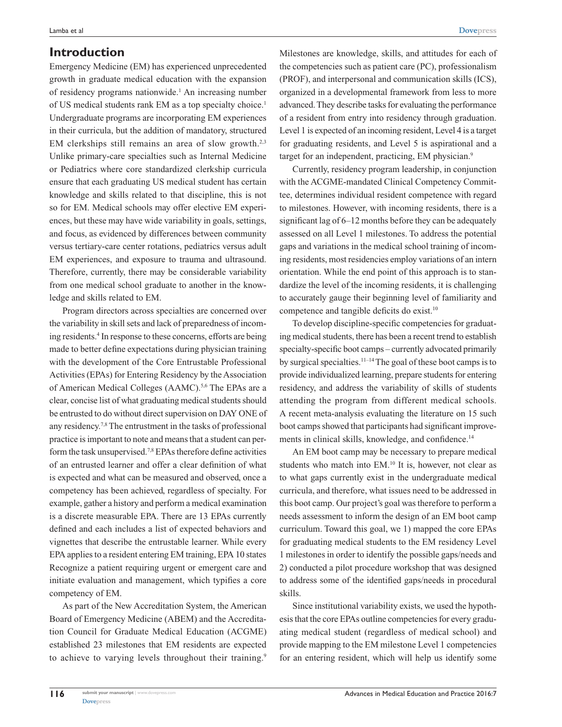### **Introduction**

Emergency Medicine (EM) has experienced unprecedented growth in graduate medical education with the expansion of residency programs nationwide.<sup>1</sup> An increasing number of US medical students rank EM as a top specialty choice.<sup>1</sup> Undergraduate programs are incorporating EM experiences in their curricula, but the addition of mandatory, structured EM clerkships still remains an area of slow growth.<sup>2,3</sup> Unlike primary-care specialties such as Internal Medicine or Pediatrics where core standardized clerkship curricula ensure that each graduating US medical student has certain knowledge and skills related to that discipline, this is not so for EM. Medical schools may offer elective EM experiences, but these may have wide variability in goals, settings, and focus, as evidenced by differences between community versus tertiary-care center rotations, pediatrics versus adult EM experiences, and exposure to trauma and ultrasound. Therefore, currently, there may be considerable variability from one medical school graduate to another in the knowledge and skills related to EM.

Program directors across specialties are concerned over the variability in skill sets and lack of preparedness of incoming residents.4 In response to these concerns, efforts are being made to better define expectations during physician training with the development of the Core Entrustable Professional Activities (EPAs) for Entering Residency by the Association of American Medical Colleges (AAMC).<sup>5,6</sup> The EPAs are a clear, concise list of what graduating medical students should be entrusted to do without direct supervision on DAY ONE of any residency.7,8 The entrustment in the tasks of professional practice is important to note and means that a student can perform the task unsupervised.7,8 EPAs therefore define activities of an entrusted learner and offer a clear definition of what is expected and what can be measured and observed, once a competency has been achieved, regardless of specialty. For example, gather a history and perform a medical examination is a discrete measurable EPA. There are 13 EPAs currently defined and each includes a list of expected behaviors and vignettes that describe the entrustable learner. While every EPA applies to a resident entering EM training, EPA 10 states Recognize a patient requiring urgent or emergent care and initiate evaluation and management, which typifies a core competency of EM.

As part of the New Accreditation System, the American Board of Emergency Medicine (ABEM) and the Accreditation Council for Graduate Medical Education (ACGME) established 23 milestones that EM residents are expected to achieve to varying levels throughout their training.<sup>9</sup>

Milestones are knowledge, skills, and attitudes for each of the competencies such as patient care (PC), professionalism (PROF), and interpersonal and communication skills (ICS), organized in a developmental framework from less to more advanced. They describe tasks for evaluating the performance of a resident from entry into residency through graduation. Level 1 is expected of an incoming resident, Level 4 is a target for graduating residents, and Level 5 is aspirational and a target for an independent, practicing, EM physician.<sup>9</sup>

Currently, residency program leadership, in conjunction with the ACGME-mandated Clinical Competency Committee, determines individual resident competence with regard to milestones. However, with incoming residents, there is a significant lag of 6–12 months before they can be adequately assessed on all Level 1 milestones. To address the potential gaps and variations in the medical school training of incoming residents, most residencies employ variations of an intern orientation. While the end point of this approach is to standardize the level of the incoming residents, it is challenging to accurately gauge their beginning level of familiarity and competence and tangible deficits do exist.<sup>10</sup>

To develop discipline-specific competencies for graduating medical students, there has been a recent trend to establish specialty-specific boot camps – currently advocated primarily by surgical specialties.11–14 The goal of these boot camps is to provide individualized learning, prepare students for entering residency, and address the variability of skills of students attending the program from different medical schools. A recent meta-analysis evaluating the literature on 15 such boot camps showed that participants had significant improvements in clinical skills, knowledge, and confidence.<sup>14</sup>

An EM boot camp may be necessary to prepare medical students who match into EM.<sup>10</sup> It is, however, not clear as to what gaps currently exist in the undergraduate medical curricula, and therefore, what issues need to be addressed in this boot camp. Our project's goal was therefore to perform a needs assessment to inform the design of an EM boot camp curriculum. Toward this goal, we 1) mapped the core EPAs for graduating medical students to the EM residency Level 1 milestones in order to identify the possible gaps/needs and 2) conducted a pilot procedure workshop that was designed to address some of the identified gaps/needs in procedural skills.

Since institutional variability exists, we used the hypothesis that the core EPAs outline competencies for every graduating medical student (regardless of medical school) and provide mapping to the EM milestone Level 1 competencies for an entering resident, which will help us identify some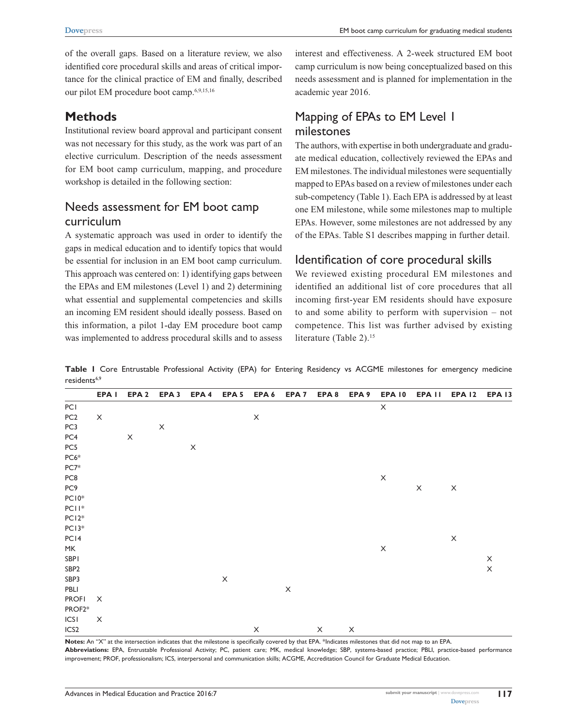of the overall gaps. Based on a literature review, we also identified core procedural skills and areas of critical importance for the clinical practice of EM and finally, described our pilot EM procedure boot camp.6,9,15,16

# **Methods**

Institutional review board approval and participant consent was not necessary for this study, as the work was part of an elective curriculum. Description of the needs assessment for EM boot camp curriculum, mapping, and procedure workshop is detailed in the following section:

# Needs assessment for EM boot camp curriculum

A systematic approach was used in order to identify the gaps in medical education and to identify topics that would be essential for inclusion in an EM boot camp curriculum. This approach was centered on: 1) identifying gaps between the EPAs and EM milestones (Level 1) and 2) determining what essential and supplemental competencies and skills an incoming EM resident should ideally possess. Based on this information, a pilot 1-day EM procedure boot camp was implemented to address procedural skills and to assess interest and effectiveness. A 2-week structured EM boot camp curriculum is now being conceptualized based on this needs assessment and is planned for implementation in the academic year 2016.

# Mapping of EPAs to EM Level 1 milestones

The authors, with expertise in both undergraduate and graduate medical education, collectively reviewed the EPAs and EM milestones. The individual milestones were sequentially mapped to EPAs based on a review of milestones under each sub-competency (Table 1). Each EPA is addressed by at least one EM milestone, while some milestones map to multiple EPAs. However, some milestones are not addressed by any of the EPAs. Table S1 describes mapping in further detail.

### Identification of core procedural skills

We reviewed existing procedural EM milestones and identified an additional list of core procedures that all incoming first-year EM residents should have exposure to and some ability to perform with supervision – not competence. This list was further advised by existing literature (Table 2).<sup>15</sup>

**Table 1** Core Entrustable Professional Activity (EPA) for Entering Residency vs ACGME milestones for emergency medicine residents<sup>6,9</sup>

|                  | EPA <sub>I</sub>          | EPA <sub>2</sub>      | EPA <sub>3</sub>      | EPA 4       | EPA <sub>5</sub> | EPA 6                 | EPA <sub>7</sub> | EPA 8       | EPA 9                 | <b>EPA 10</b>             | EPA <sub>II</sub>     | <b>EPA 12</b>             | <b>EPA 13</b>         |
|------------------|---------------------------|-----------------------|-----------------------|-------------|------------------|-----------------------|------------------|-------------|-----------------------|---------------------------|-----------------------|---------------------------|-----------------------|
| PCI              |                           |                       |                       |             |                  |                       |                  |             |                       | $\boldsymbol{\times}$     |                       |                           |                       |
| PC <sub>2</sub>  | $\boldsymbol{\mathsf{X}}$ |                       |                       |             |                  | $\mathsf X$           |                  |             |                       |                           |                       |                           |                       |
| PC3              |                           |                       | $\boldsymbol{\times}$ |             |                  |                       |                  |             |                       |                           |                       |                           |                       |
| PC4              |                           | $\boldsymbol{\times}$ |                       |             |                  |                       |                  |             |                       |                           |                       |                           |                       |
| PC5              |                           |                       |                       | $\mathsf X$ |                  |                       |                  |             |                       |                           |                       |                           |                       |
| $PC6*$           |                           |                       |                       |             |                  |                       |                  |             |                       |                           |                       |                           |                       |
| $PC7*$           |                           |                       |                       |             |                  |                       |                  |             |                       |                           |                       |                           |                       |
| PC8              |                           |                       |                       |             |                  |                       |                  |             |                       | $\mathsf X$               |                       |                           |                       |
| PC <sub>9</sub>  |                           |                       |                       |             |                  |                       |                  |             |                       |                           | $\boldsymbol{\times}$ | $\boldsymbol{\mathsf{X}}$ |                       |
| $PC10*$          |                           |                       |                       |             |                  |                       |                  |             |                       |                           |                       |                           |                       |
| $PCII*$          |                           |                       |                       |             |                  |                       |                  |             |                       |                           |                       |                           |                       |
| $PC12*$          |                           |                       |                       |             |                  |                       |                  |             |                       |                           |                       |                           |                       |
| PC13*            |                           |                       |                       |             |                  |                       |                  |             |                       |                           |                       |                           |                       |
| PC <sub>14</sub> |                           |                       |                       |             |                  |                       |                  |             |                       |                           |                       | $\mathsf X$               |                       |
| MK               |                           |                       |                       |             |                  |                       |                  |             |                       | $\boldsymbol{\mathsf{X}}$ |                       |                           |                       |
| SBPI             |                           |                       |                       |             |                  |                       |                  |             |                       |                           |                       |                           | $\boldsymbol{\times}$ |
| SBP <sub>2</sub> |                           |                       |                       |             |                  |                       |                  |             |                       |                           |                       |                           | $\mathsf X$           |
| SBP3             |                           |                       |                       |             | $\mathsf X$      |                       |                  |             |                       |                           |                       |                           |                       |
| PBLI             |                           |                       |                       |             |                  |                       | $\mathsf X$      |             |                       |                           |                       |                           |                       |
| <b>PROFI</b>     | X                         |                       |                       |             |                  |                       |                  |             |                       |                           |                       |                           |                       |
| PROF2*           |                           |                       |                       |             |                  |                       |                  |             |                       |                           |                       |                           |                       |
| ICSI             | X                         |                       |                       |             |                  |                       |                  |             |                       |                           |                       |                           |                       |
| ICS <sub>2</sub> |                           |                       |                       |             |                  | $\boldsymbol{\times}$ |                  | $\mathsf X$ | $\boldsymbol{\times}$ |                           |                       |                           |                       |

**Notes:** An "X" at the intersection indicates that the milestone is specifically covered by that EPA. \*Indicates milestones that did not map to an EPA. **Abbreviations:** EPA, Entrustable Professional Activity; PC, patient care; MK, medical knowledge; SBP, systems-based practice; PBLI, practice-based performance improvement; PROF, professionalism; ICS, interpersonal and communication skills; ACGME, Accreditation Council for Graduate Medical Education.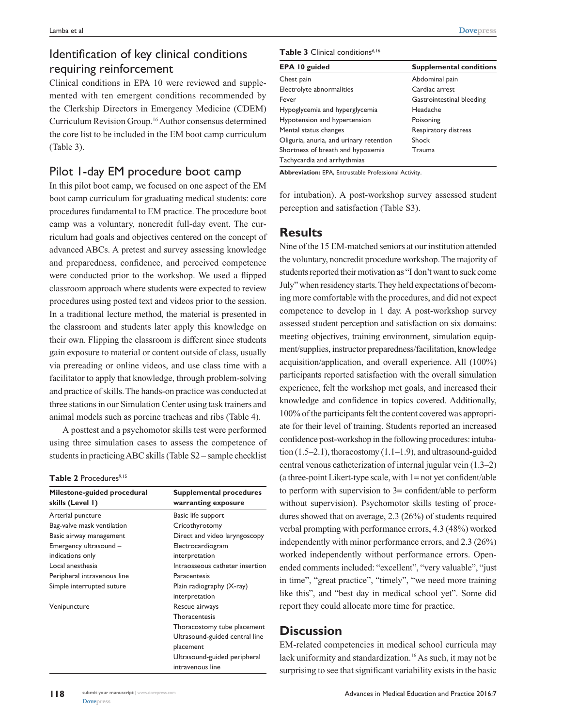# Identification of key clinical conditions requiring reinforcement

Clinical conditions in EPA 10 were reviewed and supplemented with ten emergent conditions recommended by the Clerkship Directors in Emergency Medicine (CDEM) Curriculum Revision Group.16 Author consensus determined the core list to be included in the EM boot camp curriculum (Table 3).

### Pilot 1-day EM procedure boot camp

In this pilot boot camp, we focused on one aspect of the EM boot camp curriculum for graduating medical students: core procedures fundamental to EM practice. The procedure boot camp was a voluntary, noncredit full-day event. The curriculum had goals and objectives centered on the concept of advanced ABCs. A pretest and survey assessing knowledge and preparedness, confidence, and perceived competence were conducted prior to the workshop. We used a flipped classroom approach where students were expected to review procedures using posted text and videos prior to the session. In a traditional lecture method, the material is presented in the classroom and students later apply this knowledge on their own. Flipping the classroom is different since students gain exposure to material or content outside of class, usually via prereading or online videos, and use class time with a facilitator to apply that knowledge, through problem-solving and practice of skills. The hands-on practice was conducted at three stations in our Simulation Center using task trainers and animal models such as porcine tracheas and ribs (Table 4).

A posttest and a psychomotor skills test were performed using three simulation cases to assess the competence of students in practicing ABC skills (Table S2 – sample checklist

#### Table 2 Procedures<sup>9,15</sup>

| Milestone-guided procedural<br>skills (Level 1) | <b>Supplemental procedures</b><br>warranting exposure |  |  |  |  |
|-------------------------------------------------|-------------------------------------------------------|--|--|--|--|
| Arterial puncture                               | Basic life support                                    |  |  |  |  |
| Bag-valve mask ventilation                      | Cricothyrotomy                                        |  |  |  |  |
| Basic airway management                         | Direct and video laryngoscopy                         |  |  |  |  |
| Emergency ultrasound -                          | Electrocardiogram                                     |  |  |  |  |
| indications only                                | interpretation                                        |  |  |  |  |
| Local anesthesia                                | Intraosseous catheter insertion                       |  |  |  |  |
| Peripheral intravenous line                     | Paracentesis                                          |  |  |  |  |
| Simple interrupted suture                       | Plain radiography (X-ray)                             |  |  |  |  |
|                                                 | interpretation                                        |  |  |  |  |
| Venipuncture                                    | Rescue airways                                        |  |  |  |  |
|                                                 | Thoracentesis                                         |  |  |  |  |
|                                                 | Thoracostomy tube placement                           |  |  |  |  |
|                                                 | Ultrasound-guided central line                        |  |  |  |  |
|                                                 | placement                                             |  |  |  |  |
|                                                 | Ultrasound-guided peripheral                          |  |  |  |  |
|                                                 | intravenous line                                      |  |  |  |  |

**[Dovepress](www.dovepress.com)** 

#### Table 3 Clinical conditions<sup>6,16</sup>

| EPA 10 guided                           | <b>Supplemental conditions</b> |
|-----------------------------------------|--------------------------------|
| Chest pain                              | Abdominal pain                 |
| Electrolyte abnormalities               | Cardiac arrest                 |
| Fever                                   | Gastrointestinal bleeding      |
| Hypoglycemia and hyperglycemia          | Headache                       |
| Hypotension and hypertension            | Poisoning                      |
| Mental status changes                   | Respiratory distress           |
| Oliguria, anuria, and urinary retention | Shock                          |
| Shortness of breath and hypoxemia       | Trauma                         |
| Tachycardia and arrhythmias             |                                |

**Abbreviation:** EPA, Entrustable Professional Activity.

for intubation). A post-workshop survey assessed student perception and satisfaction (Table S3).

### **Results**

Nine of the 15 EM-matched seniors at our institution attended the voluntary, noncredit procedure workshop. The majority of students reported their motivation as "I don't want to suck come July" when residency starts. They held expectations of becoming more comfortable with the procedures, and did not expect competence to develop in 1 day. A post-workshop survey assessed student perception and satisfaction on six domains: meeting objectives, training environment, simulation equipment/supplies, instructor preparedness/facilitation, knowledge acquisition/application, and overall experience. All (100%) participants reported satisfaction with the overall simulation experience, felt the workshop met goals, and increased their knowledge and confidence in topics covered. Additionally, 100% of the participants felt the content covered was appropriate for their level of training. Students reported an increased confidence post-workshop in the following procedures: intubation  $(1.5-2.1)$ , thoracostomy  $(1.1-1.9)$ , and ultrasound-guided central venous catheterization of internal jugular vein (1.3–2) (a three-point Likert-type scale, with 1= not yet confident/able to perform with supervision to 3= confident/able to perform without supervision). Psychomotor skills testing of procedures showed that on average, 2.3 (26%) of students required verbal prompting with performance errors, 4.3 (48%) worked independently with minor performance errors, and 2.3 (26%) worked independently without performance errors. Openended comments included: "excellent", "very valuable", "just in time", "great practice", "timely", "we need more training like this", and "best day in medical school yet". Some did report they could allocate more time for practice.

### **Discussion**

EM-related competencies in medical school curricula may lack uniformity and standardization.<sup>16</sup> As such, it may not be surprising to see that significant variability exists in the basic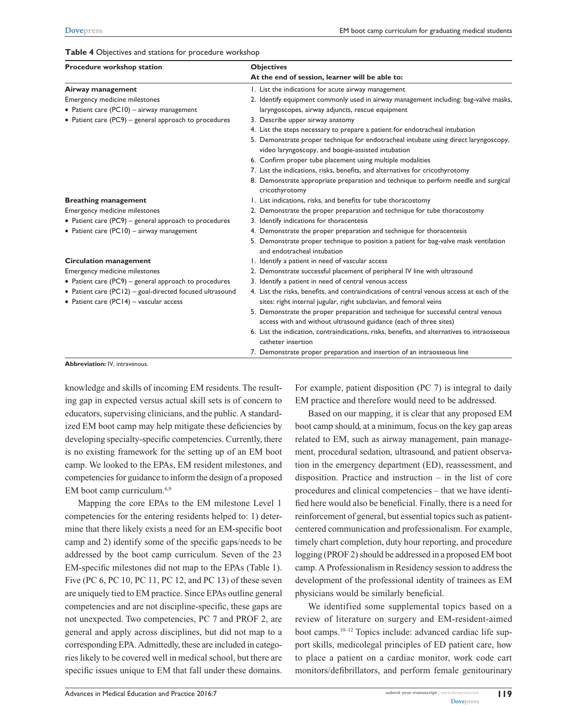#### **Table 4** Objectives and stations for procedure workshop

| Procedure workshop station                               | <b>Objectives</b>                                                                                                                          |  |  |  |  |
|----------------------------------------------------------|--------------------------------------------------------------------------------------------------------------------------------------------|--|--|--|--|
|                                                          | At the end of session, learner will be able to:                                                                                            |  |  |  |  |
| Airway management                                        | 1. List the indications for acute airway management                                                                                        |  |  |  |  |
| Emergency medicine milestones                            | 2. Identify equipment commonly used in airway management including: bag-valve masks,                                                       |  |  |  |  |
| • Patient care (PC10) - airway management                | laryngoscopes, airway adjuncts, rescue equipment                                                                                           |  |  |  |  |
| • Patient care (PC9) – general approach to procedures    | 3. Describe upper airway anatomy                                                                                                           |  |  |  |  |
|                                                          | 4. List the steps necessary to prepare a patient for endotracheal intubation                                                               |  |  |  |  |
|                                                          | 5. Demonstrate proper technique for endotracheal intubate using direct laryngoscopy,<br>video laryngoscopy, and boogie-assisted intubation |  |  |  |  |
|                                                          | 6. Confirm proper tube placement using multiple modalities                                                                                 |  |  |  |  |
|                                                          | 7. List the indications, risks, benefits, and alternatives for cricothyrotomy                                                              |  |  |  |  |
|                                                          | 8. Demonstrate appropriate preparation and technique to perform needle and surgical<br>cricothyrotomy                                      |  |  |  |  |
| <b>Breathing management</b>                              | 1. List indications, risks, and benefits for tube thoracostomy                                                                             |  |  |  |  |
| Emergency medicine milestones                            | 2. Demonstrate the proper preparation and technique for tube thoracostomy                                                                  |  |  |  |  |
| • Patient care (PC9) – general approach to procedures    | 3. Identify indications for thoracentesis                                                                                                  |  |  |  |  |
| • Patient care (PC10) - airway management                | 4. Demonstrate the proper preparation and technique for thoracentesis                                                                      |  |  |  |  |
|                                                          | 5. Demonstrate proper technique to position a patient for bag-valve mask ventilation<br>and endotracheal intubation                        |  |  |  |  |
| <b>Circulation management</b>                            | I. Identify a patient in need of vascular access                                                                                           |  |  |  |  |
| Emergency medicine milestones                            | 2. Demonstrate successful placement of peripheral IV line with ultrasound                                                                  |  |  |  |  |
| • Patient care (PC9) – general approach to procedures    | 3. Identify a patient in need of central venous access                                                                                     |  |  |  |  |
| • Patient care (PC12) - goal-directed focused ultrasound | 4. List the risks, benefits, and contraindications of central venous access at each of the                                                 |  |  |  |  |
| • Patient care (PC14) - vascular access                  | sites: right internal jugular, right subclavian, and femoral veins                                                                         |  |  |  |  |
|                                                          | 5. Demonstrate the proper preparation and technique for successful central venous                                                          |  |  |  |  |
|                                                          | access with and without ultrasound guidance (each of three sites)                                                                          |  |  |  |  |
|                                                          | 6. List the indication, contraindications, risks, benefits, and alternatives to intraosseous                                               |  |  |  |  |
|                                                          | catheter insertion                                                                                                                         |  |  |  |  |
|                                                          | 7. Demonstrate proper preparation and insertion of an intraosseous line                                                                    |  |  |  |  |

**Abbreviation:** IV, intravenous.

knowledge and skills of incoming EM residents. The resulting gap in expected versus actual skill sets is of concern to educators, supervising clinicians, and the public. A standardized EM boot camp may help mitigate these deficiencies by developing specialty-specific competencies. Currently, there is no existing framework for the setting up of an EM boot camp. We looked to the EPAs, EM resident milestones, and competencies for guidance to inform the design of a proposed EM boot camp curriculum.6,9

Mapping the core EPAs to the EM milestone Level 1 competencies for the entering residents helped to: 1) determine that there likely exists a need for an EM-specific boot camp and 2) identify some of the specific gaps/needs to be addressed by the boot camp curriculum. Seven of the 23 EM-specific milestones did not map to the EPAs (Table 1). Five (PC 6, PC 10, PC 11, PC 12, and PC 13) of these seven are uniquely tied to EM practice. Since EPAs outline general competencies and are not discipline-specific, these gaps are not unexpected. Two competencies, PC 7 and PROF 2, are general and apply across disciplines, but did not map to a corresponding EPA. Admittedly, these are included in categories likely to be covered well in medical school, but there are specific issues unique to EM that fall under these domains.

For example, patient disposition (PC 7) is integral to daily EM practice and therefore would need to be addressed.

Based on our mapping, it is clear that any proposed EM boot camp should, at a minimum, focus on the key gap areas related to EM, such as airway management, pain management, procedural sedation, ultrasound, and patient observation in the emergency department (ED), reassessment, and disposition. Practice and instruction – in the list of core procedures and clinical competencies – that we have identified here would also be beneficial. Finally, there is a need for reinforcement of general, but essential topics such as patientcentered communication and professionalism. For example, timely chart completion, duty hour reporting, and procedure logging (PROF 2) should be addressed in a proposed EM boot camp. A Professionalism in Residency session to address the development of the professional identity of trainees as EM physicians would be similarly beneficial.

We identified some supplemental topics based on a review of literature on surgery and EM-resident-aimed boot camps.10–12 Topics include: advanced cardiac life support skills, medicolegal principles of ED patient care, how to place a patient on a cardiac monitor, work code cart monitors/defibrillators, and perform female genitourinary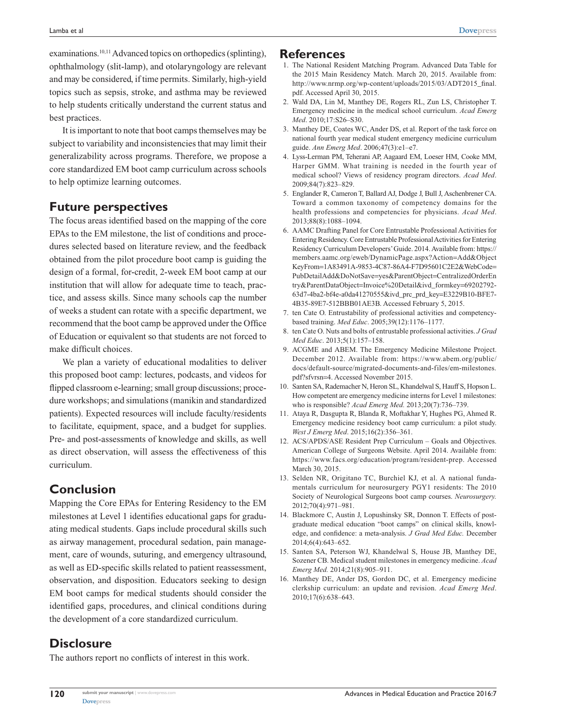examinations.<sup>10,11</sup> Advanced topics on orthopedics (splinting), ophthalmology (slit-lamp), and otolaryngology are relevant and may be considered, if time permits. Similarly, high-yield topics such as sepsis, stroke, and asthma may be reviewed to help students critically understand the current status and best practices.

It is important to note that boot camps themselves may be subject to variability and inconsistencies that may limit their generalizability across programs. Therefore, we propose a core standardized EM boot camp curriculum across schools to help optimize learning outcomes.

### **Future perspectives**

The focus areas identified based on the mapping of the core EPAs to the EM milestone, the list of conditions and procedures selected based on literature review, and the feedback obtained from the pilot procedure boot camp is guiding the design of a formal, for-credit, 2-week EM boot camp at our institution that will allow for adequate time to teach, practice, and assess skills. Since many schools cap the number of weeks a student can rotate with a specific department, we recommend that the boot camp be approved under the Office of Education or equivalent so that students are not forced to make difficult choices.

We plan a variety of educational modalities to deliver this proposed boot camp: lectures, podcasts, and videos for flipped classroom e-learning; small group discussions; procedure workshops; and simulations (manikin and standardized patients). Expected resources will include faculty/residents to facilitate, equipment, space, and a budget for supplies. Pre- and post-assessments of knowledge and skills, as well as direct observation, will assess the effectiveness of this curriculum.

# **Conclusion**

Mapping the Core EPAs for Entering Residency to the EM milestones at Level 1 identifies educational gaps for graduating medical students. Gaps include procedural skills such as airway management, procedural sedation, pain management, care of wounds, suturing, and emergency ultrasound, as well as ED-specific skills related to patient reassessment, observation, and disposition. Educators seeking to design EM boot camps for medical students should consider the identified gaps, procedures, and clinical conditions during the development of a core standardized curriculum.

# **Disclosure**

The authors report no conflicts of interest in this work.

#### **References**

- 1. The National Resident Matching Program. Advanced Data Table for the 2015 Main Residency Match. March 20, 2015. Available from: [http://www.nrmp.org/wp-content/uploads/2015/03/ADT2015\\_final.](http://www.nrmp.org/wp-content/uploads/2015/03/ADT2015_final.pdf) [pdf](http://www.nrmp.org/wp-content/uploads/2015/03/ADT2015_final.pdf). Accessed April 30, 2015.
- 2. Wald DA, Lin M, Manthey DE, Rogers RL, Zun LS, Christopher T. Emergency medicine in the medical school curriculum. *Acad Emerg Med*. 2010;17:S26–S30.
- 3. Manthey DE, Coates WC, Ander DS, et al. Report of the task force on national fourth year medical student emergency medicine curriculum guide. *Ann Emerg Med*. 2006;47(3):e1–e7.
- 4. Lyss-Lerman PM, Teherani AP, Aagaard EM, Loeser HM, Cooke MM, Harper GMM. What training is needed in the fourth year of medical school? Views of residency program directors. *Acad Med*. 2009;84(7):823–829.
- 5. Englander R, Cameron T, Ballard AJ, Dodge J, Bull J, Aschenbrener CA. Toward a common taxonomy of competency domains for the health professions and competencies for physicians. *Acad Med*. 2013;88(8):1088–1094.
- 6. AAMC Drafting Panel for Core Entrustable Professional Activities for Entering Residency. Core Entrustable Professional Activities for Entering Residency Curriculum Developers' Guide. 2014. Available from: [https://](https://members.aamc.org/eweb/DynamicPage.aspx?Action=Add&ObjectKeyFrom=1A83491A-9853-4C87-86A4-F7D95601C2E2&WebCode=PubDetailAdd&DoNotSave=yes&ParentObject=CentralizedOrderEntry&ParentDataObject=Invoice%20Detail&ivd_formkey=69202792-63d7-4ba2-bf4e-a0da41270555&ivd_prc_prd_key=E3229B10-BFE7-4B35-89E7-512BBB01AE3B) [members.aamc.org/eweb/DynamicPage.aspx?Action](https://members.aamc.org/eweb/DynamicPage.aspx?Action=Add&ObjectKeyFrom=1A83491A-9853-4C87-86A4-F7D95601C2E2&WebCode=PubDetailAdd&DoNotSave=yes&ParentObject=CentralizedOrderEntry&ParentDataObject=Invoice%20Detail&ivd_formkey=69202792-63d7-4ba2-bf4e-a0da41270555&ivd_prc_prd_key=E3229B10-BFE7-4B35-89E7-512BBB01AE3B)=Add&Object KeyFrom=[1A83491A-9853-4C87-86A4-F7D95601C2E2&WebCode](https://members.aamc.org/eweb/DynamicPage.aspx?Action=Add&ObjectKeyFrom=1A83491A-9853-4C87-86A4-F7D95601C2E2&WebCode=PubDetailAdd&DoNotSave=yes&ParentObject=CentralizedOrderEntry&ParentDataObject=Invoice%20Detail&ivd_formkey=69202792-63d7-4ba2-bf4e-a0da41270555&ivd_prc_prd_key=E3229B10-BFE7-4B35-89E7-512BBB01AE3B)= [PubDetailAdd&DoNotSave](https://members.aamc.org/eweb/DynamicPage.aspx?Action=Add&ObjectKeyFrom=1A83491A-9853-4C87-86A4-F7D95601C2E2&WebCode=PubDetailAdd&DoNotSave=yes&ParentObject=CentralizedOrderEntry&ParentDataObject=Invoice%20Detail&ivd_formkey=69202792-63d7-4ba2-bf4e-a0da41270555&ivd_prc_prd_key=E3229B10-BFE7-4B35-89E7-512BBB01AE3B)=yes&ParentObject=CentralizedOrderEn try&ParentDataObject=[Invoice%20Detail&ivd\\_formkey](https://members.aamc.org/eweb/DynamicPage.aspx?Action=Add&ObjectKeyFrom=1A83491A-9853-4C87-86A4-F7D95601C2E2&WebCode=PubDetailAdd&DoNotSave=yes&ParentObject=CentralizedOrderEntry&ParentDataObject=Invoice%20Detail&ivd_formkey=69202792-63d7-4ba2-bf4e-a0da41270555&ivd_prc_prd_key=E3229B10-BFE7-4B35-89E7-512BBB01AE3B)=69202792- [63d7-4ba2-bf4e-a0da41270555&ivd\\_prc\\_prd\\_key](https://members.aamc.org/eweb/DynamicPage.aspx?Action=Add&ObjectKeyFrom=1A83491A-9853-4C87-86A4-F7D95601C2E2&WebCode=PubDetailAdd&DoNotSave=yes&ParentObject=CentralizedOrderEntry&ParentDataObject=Invoice%20Detail&ivd_formkey=69202792-63d7-4ba2-bf4e-a0da41270555&ivd_prc_prd_key=E3229B10-BFE7-4B35-89E7-512BBB01AE3B)=E3229B10-BFE7- [4B35-89E7-512BBB01AE3B.](https://members.aamc.org/eweb/DynamicPage.aspx?Action=Add&ObjectKeyFrom=1A83491A-9853-4C87-86A4-F7D95601C2E2&WebCode=PubDetailAdd&DoNotSave=yes&ParentObject=CentralizedOrderEntry&ParentDataObject=Invoice%20Detail&ivd_formkey=69202792-63d7-4ba2-bf4e-a0da41270555&ivd_prc_prd_key=E3229B10-BFE7-4B35-89E7-512BBB01AE3B) Accessed February 5, 2015.
- 7. ten Cate O. Entrustability of professional activities and competencybased training. *Med Educ*. 2005;39(12):1176–1177.
- 8. ten Cate O. Nuts and bolts of entrustable professional activities. *J Grad Med Educ*. 2013;5(1):157–158.
- 9. ACGME and ABEM. The Emergency Medicine Milestone Project. December 2012. Available from: [https://www.abem.org/public/](https://www.abem.org/public/docs/default-source/migrated-documents-and-files/em-milestones.pdf?sfvrsn=4) [docs/default-source/migrated-documents-and-files/em-milestones.](https://www.abem.org/public/docs/default-source/migrated-documents-and-files/em-milestones.pdf?sfvrsn=4) [pdf?sfvrsn](https://www.abem.org/public/docs/default-source/migrated-documents-and-files/em-milestones.pdf?sfvrsn=4)=4. Accessed November 2015.
- 10. Santen SA, Rademacher N, Heron SL, Khandelwal S, Hauff S, Hopson L. How competent are emergency medicine interns for Level 1 milestones: who is responsible? *Acad Emerg Med.* 2013;20(7):736–739.
- 11. Ataya R, Dasgupta R, Blanda R, Moftakhar Y, Hughes PG, Ahmed R. Emergency medicine residency boot camp curriculum: a pilot study. *West J Emerg Med*. 2015;16(2):356–361.
- 12. ACS/APDS/ASE Resident Prep Curriculum Goals and Objectives. American College of Surgeons Website. April 2014. Available from: <https://www.facs.org/education/program/resident-prep>. Accessed March 30, 2015.
- 13. Selden NR, Origitano TC, Burchiel KJ, et al. A national fundamentals curriculum for neurosurgery PGY1 residents: The 2010 Society of Neurological Surgeons boot camp courses. *Neurosurgery.* 2012;70(4):971–981.
- 14. Blackmore C, Austin J, Lopushinsky SR, Donnon T. Effects of postgraduate medical education "boot camps" on clinical skills, knowledge, and confidence: a meta-analysis. *J Grad Med Educ.* December 2014;6(4):643–652.
- 15. Santen SA, Peterson WJ, Khandelwal S, House JB, Manthey DE, Sozener CB. Medical student milestones in emergency medicine. *Acad Emerg Med.* 2014;21(8):905–911.
- 16. Manthey DE, Ander DS, Gordon DC, et al. Emergency medicine clerkship curriculum: an update and revision. *Acad Emerg Med*. 2010;17(6):638–643.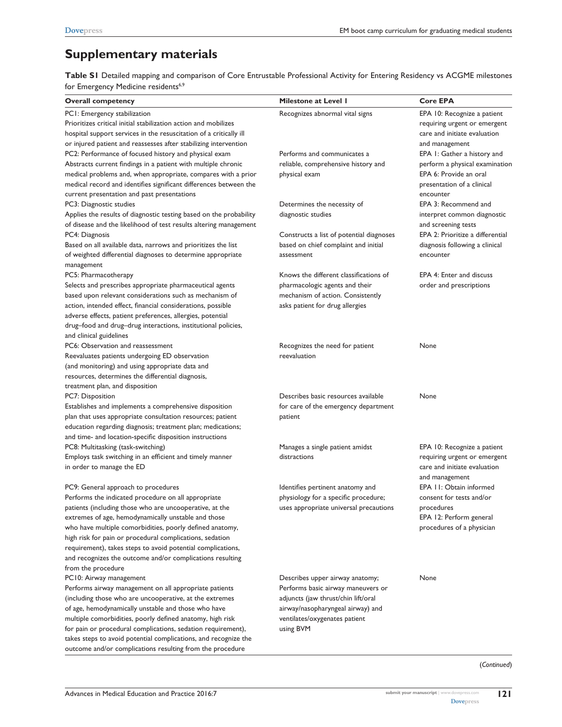# **Supplementary materials**

**Table S1** Detailed mapping and comparison of Core Entrustable Professional Activity for Entering Residency vs ACGME milestones for Emergency Medicine residents<sup>6,9</sup>

| Overall competency                                                 | <b>Milestone at Level I</b>              | <b>Core EPA</b>                  |
|--------------------------------------------------------------------|------------------------------------------|----------------------------------|
| PCI: Emergency stabilization                                       | Recognizes abnormal vital signs          | EPA 10: Recognize a patient      |
| Prioritizes critical initial stabilization action and mobilizes    |                                          | requiring urgent or emergent     |
| hospital support services in the resuscitation of a critically ill |                                          | care and initiate evaluation     |
| or injured patient and reassesses after stabilizing intervention   |                                          | and management                   |
| PC2: Performance of focused history and physical exam              | Performs and communicates a              | EPA 1: Gather a history and      |
| Abstracts current findings in a patient with multiple chronic      | reliable, comprehensive history and      | perform a physical examination   |
| medical problems and, when appropriate, compares with a prior      | physical exam                            | EPA 6: Provide an oral           |
| medical record and identifies significant differences between the  |                                          | presentation of a clinical       |
| current presentation and past presentations                        |                                          | encounter                        |
| PC3: Diagnostic studies                                            | Determines the necessity of              | EPA 3: Recommend and             |
| Applies the results of diagnostic testing based on the probability | diagnostic studies                       | interpret common diagnostic      |
| of disease and the likelihood of test results altering management  |                                          | and screening tests              |
| PC4: Diagnosis                                                     | Constructs a list of potential diagnoses | EPA 2: Prioritize a differential |
| Based on all available data, narrows and prioritizes the list      | based on chief complaint and initial     | diagnosis following a clinical   |
| of weighted differential diagnoses to determine appropriate        | assessment                               | encounter                        |
| management                                                         |                                          |                                  |
| PC5: Pharmacotherapy                                               | Knows the different classifications of   | EPA 4: Enter and discuss         |
| Selects and prescribes appropriate pharmaceutical agents           | pharmacologic agents and their           | order and prescriptions          |
| based upon relevant considerations such as mechanism of            | mechanism of action. Consistently        |                                  |
| action, intended effect, financial considerations, possible        | asks patient for drug allergies          |                                  |
| adverse effects, patient preferences, allergies, potential         |                                          |                                  |
| drug-food and drug-drug interactions, institutional policies,      |                                          |                                  |
| and clinical guidelines                                            |                                          |                                  |
| PC6: Observation and reassessment                                  | Recognizes the need for patient          | None                             |
| Reevaluates patients undergoing ED observation                     | reevaluation                             |                                  |
| (and monitoring) and using appropriate data and                    |                                          |                                  |
| resources, determines the differential diagnosis,                  |                                          |                                  |
| treatment plan, and disposition                                    |                                          |                                  |
| PC7: Disposition                                                   | Describes basic resources available      | None                             |
| Establishes and implements a comprehensive disposition             | for care of the emergency department     |                                  |
| plan that uses appropriate consultation resources; patient         | patient                                  |                                  |
| education regarding diagnosis; treatment plan; medications;        |                                          |                                  |
| and time- and location-specific disposition instructions           |                                          |                                  |
| PC8: Multitasking (task-switching)                                 | Manages a single patient amidst          | EPA 10: Recognize a patient      |
| Employs task switching in an efficient and timely manner           | distractions                             | requiring urgent or emergent     |
| in order to manage the ED                                          |                                          | care and initiate evaluation     |
|                                                                    |                                          | and management                   |
| PC9: General approach to procedures                                | Identifies pertinent anatomy and         | EPA 11: Obtain informed          |
| Performs the indicated procedure on all appropriate                | physiology for a specific procedure;     | consent for tests and/or         |
| patients (including those who are uncooperative, at the            | uses appropriate universal precautions   | procedures                       |
| extremes of age, hemodynamically unstable and those                |                                          | EPA 12: Perform general          |
| who have multiple comorbidities, poorly defined anatomy,           |                                          | procedures of a physician        |
| high risk for pain or procedural complications, sedation           |                                          |                                  |
| requirement), takes steps to avoid potential complications,        |                                          |                                  |
| and recognizes the outcome and/or complications resulting          |                                          |                                  |
| from the procedure                                                 |                                          |                                  |
| PC10: Airway management                                            | Describes upper airway anatomy;          | None                             |
| Performs airway management on all appropriate patients             | Performs basic airway maneuvers or       |                                  |
| (including those who are uncooperative, at the extremes            | adjuncts (jaw thrust/chin lift/oral      |                                  |
| of age, hemodynamically unstable and those who have                | airway/nasopharyngeal airway) and        |                                  |
| multiple comorbidities, poorly defined anatomy, high risk          | ventilates/oxygenates patient            |                                  |
| for pain or procedural complications, sedation requirement),       | using BVM                                |                                  |
| takes steps to avoid potential complications, and recognize the    |                                          |                                  |
| outcome and/or complications resulting from the procedure          |                                          |                                  |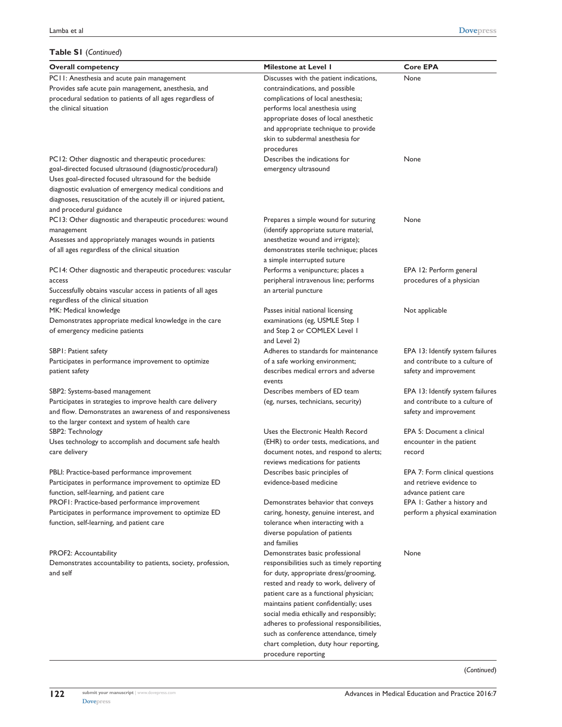#### **Table S1** (*Continued*)

| <b>Overall competency</b>                                       | <b>Milestone at Level I</b>               | <b>Core EPA</b>                  |
|-----------------------------------------------------------------|-------------------------------------------|----------------------------------|
| PCII: Anesthesia and acute pain management                      | Discusses with the patient indications,   | None                             |
| Provides safe acute pain management, anesthesia, and            | contraindications, and possible           |                                  |
| procedural sedation to patients of all ages regardless of       | complications of local anesthesia;        |                                  |
| the clinical situation                                          | performs local anesthesia using           |                                  |
|                                                                 | appropriate doses of local anesthetic     |                                  |
|                                                                 | and appropriate technique to provide      |                                  |
|                                                                 | skin to subdermal anesthesia for          |                                  |
|                                                                 | procedures                                |                                  |
| PC12: Other diagnostic and therapeutic procedures:              | Describes the indications for             | None                             |
| goal-directed focused ultrasound (diagnostic/procedural)        | emergency ultrasound                      |                                  |
| Uses goal-directed focused ultrasound for the bedside           |                                           |                                  |
| diagnostic evaluation of emergency medical conditions and       |                                           |                                  |
| diagnoses, resuscitation of the acutely ill or injured patient, |                                           |                                  |
| and procedural guidance                                         |                                           |                                  |
| PC13: Other diagnostic and therapeutic procedures: wound        | Prepares a simple wound for suturing      | None                             |
| management                                                      | (identify appropriate suture material,    |                                  |
| Assesses and appropriately manages wounds in patients           | anesthetize wound and irrigate);          |                                  |
| of all ages regardless of the clinical situation                | demonstrates sterile technique; places    |                                  |
|                                                                 | a simple interrupted suture               |                                  |
| PC14: Other diagnostic and therapeutic procedures: vascular     | Performs a venipuncture; places a         | EPA 12: Perform general          |
| access                                                          | peripheral intravenous line; performs     | procedures of a physician        |
| Successfully obtains vascular access in patients of all ages    | an arterial puncture                      |                                  |
| regardless of the clinical situation                            |                                           |                                  |
| MK: Medical knowledge                                           | Passes initial national licensing         | Not applicable                   |
| Demonstrates appropriate medical knowledge in the care          | examinations (eg, USMLE Step 1            |                                  |
| of emergency medicine patients                                  | and Step 2 or COMLEX Level I              |                                  |
|                                                                 | and Level 2)                              |                                  |
| SBPI: Patient safety                                            | Adheres to standards for maintenance      | EPA 13: Identify system failures |
| Participates in performance improvement to optimize             | of a safe working environment;            | and contribute to a culture of   |
| patient safety                                                  | describes medical errors and adverse      | safety and improvement           |
|                                                                 | events                                    |                                  |
| SBP2: Systems-based management                                  | Describes members of ED team              | EPA 13: Identify system failures |
| Participates in strategies to improve health care delivery      | (eg, nurses, technicians, security)       | and contribute to a culture of   |
| and flow. Demonstrates an awareness of and responsiveness       |                                           | safety and improvement           |
| to the larger context and system of health care                 |                                           |                                  |
| SBP2: Technology                                                | Uses the Electronic Health Record         | EPA 5: Document a clinical       |
| Uses technology to accomplish and document safe health          | (EHR) to order tests, medications, and    | encounter in the patient         |
| care delivery                                                   | document notes, and respond to alerts;    | record                           |
|                                                                 | reviews medications for patients          |                                  |
| PBLI: Practice-based performance improvement                    | Describes basic principles of             | EPA 7: Form clinical questions   |
| Participates in performance improvement to optimize ED          | evidence-based medicine                   | and retrieve evidence to         |
| function, self-learning, and patient care                       |                                           | advance patient care             |
| PROFI: Practice-based performance improvement                   | Demonstrates behavior that conveys        | EPA 1: Gather a history and      |
| Participates in performance improvement to optimize ED          | caring, honesty, genuine interest, and    | perform a physical examination   |
| function, self-learning, and patient care                       | tolerance when interacting with a         |                                  |
|                                                                 | diverse population of patients            |                                  |
|                                                                 | and families                              |                                  |
| PROF2: Accountability                                           | Demonstrates basic professional           | None                             |
| Demonstrates accountability to patients, society, profession,   | responsibilities such as timely reporting |                                  |
| and self                                                        | for duty, appropriate dress/grooming,     |                                  |
|                                                                 | rested and ready to work, delivery of     |                                  |
|                                                                 | patient care as a functional physician;   |                                  |
|                                                                 | maintains patient confidentially; uses    |                                  |
|                                                                 | social media ethically and responsibly;   |                                  |
|                                                                 | adheres to professional responsibilities, |                                  |
|                                                                 | such as conference attendance, timely     |                                  |
|                                                                 | chart completion, duty hour reporting,    |                                  |
|                                                                 | procedure reporting                       |                                  |

(*Continued*)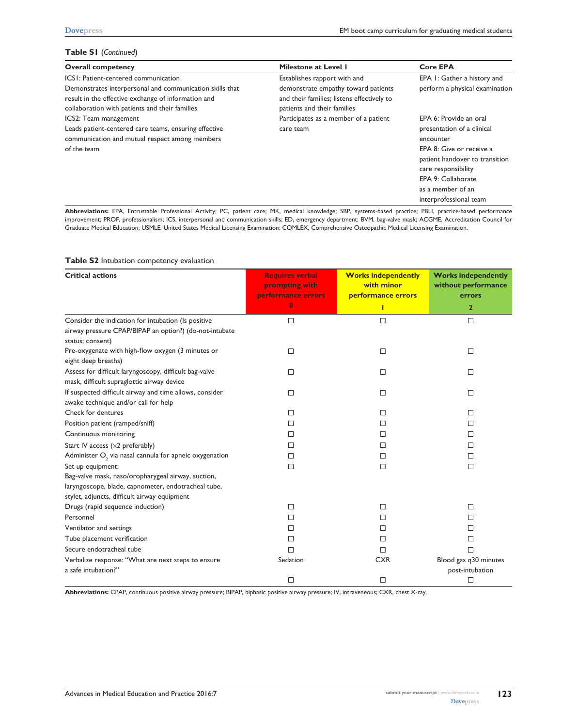#### **Table S1** (*Continued*)

| <b>Overall competency</b>                                                                                              | Milestone at Level 1                                                              | <b>Core EPA</b>                                                     |  |  |
|------------------------------------------------------------------------------------------------------------------------|-----------------------------------------------------------------------------------|---------------------------------------------------------------------|--|--|
| ICSI: Patient-centered communication                                                                                   | Establishes rapport with and                                                      | EPA 1: Gather a history and                                         |  |  |
| Demonstrates interpersonal and communication skills that<br>result in the effective exchange of information and        | demonstrate empathy toward patients<br>and their families; listens effectively to | perform a physical examination                                      |  |  |
| collaboration with patients and their families                                                                         | patients and their families                                                       |                                                                     |  |  |
| ICS2: Team management                                                                                                  | Participates as a member of a patient                                             | EPA 6: Provide an oral                                              |  |  |
| Leads patient-centered care teams, ensuring effective<br>communication and mutual respect among members<br>of the team | care team                                                                         | presentation of a clinical<br>encounter<br>EPA 8: Give or receive a |  |  |
|                                                                                                                        |                                                                                   | patient handover to transition<br>care responsibility               |  |  |
|                                                                                                                        |                                                                                   | EPA 9: Collaborate                                                  |  |  |
|                                                                                                                        |                                                                                   | as a member of an                                                   |  |  |
|                                                                                                                        |                                                                                   | interprofessional team                                              |  |  |

Abbreviations: EPA, Entrustable Professional Activity; PC, patient care; MK, medical knowledge; SBP, systems-based practice; PBLI, practice-based performance improvement; PROF, professionalism; ICS, interpersonal and communication skills; ED, emergency department; BVM, bag-valve mask; ACGME, Accreditation Council for Graduate Medical Education; USMLE, United States Medical Licensing Examination; COMLEX, Comprehensive Osteopathic Medical Licensing Examination.

#### **Table S2** Intubation competency evaluation

| <b>Critical actions</b>                                               | <b>Requires verbal</b><br>prompting with<br>performance errors<br>$\bf{0}$ | <b>Works independently</b><br>with minor<br>performance errors | <b>Works independently</b><br>without performance<br>errors<br>$\mathbf{2}$ |
|-----------------------------------------------------------------------|----------------------------------------------------------------------------|----------------------------------------------------------------|-----------------------------------------------------------------------------|
|                                                                       |                                                                            |                                                                |                                                                             |
| Consider the indication for intubation (Is positive                   | $\Box$                                                                     | □                                                              | $\Box$                                                                      |
| airway pressure CPAP/BIPAP an option?) (do-not-intubate               |                                                                            |                                                                |                                                                             |
| status; consent)<br>Pre-oxygenate with high-flow oxygen (3 minutes or |                                                                            |                                                                | □                                                                           |
| eight deep breaths)                                                   | □                                                                          | □                                                              |                                                                             |
| Assess for difficult laryngoscopy, difficult bag-valve                | □                                                                          | □                                                              | $\Box$                                                                      |
| mask, difficult supraglottic airway device                            |                                                                            |                                                                |                                                                             |
| If suspected difficult airway and time allows, consider               | □                                                                          | П                                                              | п                                                                           |
| awake technique and/or call for help                                  |                                                                            |                                                                |                                                                             |
| Check for dentures                                                    | □                                                                          | □                                                              | п                                                                           |
| Position patient (ramped/sniff)                                       | □                                                                          | □                                                              | П                                                                           |
| Continuous monitoring                                                 | □                                                                          | □                                                              | П                                                                           |
| Start IV access $(x2$ preferably)                                     | П                                                                          | П                                                              | П                                                                           |
| Administer $O_2$ via nasal cannula for apneic oxygenation             | □                                                                          | □                                                              | П                                                                           |
| Set up equipment:                                                     | $\Box$                                                                     | □                                                              | □                                                                           |
| Bag-valve mask, naso/oropharygeal airway, suction,                    |                                                                            |                                                                |                                                                             |
| laryngoscope, blade, capnometer, endotracheal tube,                   |                                                                            |                                                                |                                                                             |
| stylet, adjuncts, difficult airway equipment                          |                                                                            |                                                                |                                                                             |
| Drugs (rapid sequence induction)                                      | □                                                                          | □                                                              | п                                                                           |
| Personnel                                                             | $\Box$                                                                     | □                                                              | п                                                                           |
| Ventilator and settings                                               | □                                                                          | □                                                              | п                                                                           |
| Tube placement verification                                           | $\Box$                                                                     | □                                                              | П                                                                           |
| Secure endotracheal tube                                              | П                                                                          | П                                                              | п                                                                           |
| Verbalize response: "What are next steps to ensure                    | Sedation                                                                   | <b>CXR</b>                                                     | Blood gas q30 minutes                                                       |
| a safe intubation?"                                                   |                                                                            |                                                                | post-intubation                                                             |
|                                                                       | П                                                                          | □                                                              | □                                                                           |

**Abbreviations:** CPAP, continuous positive airway pressure; BIPAP, biphasic positive airway pressure; IV, intraveneous; CXR, chest X-ray.